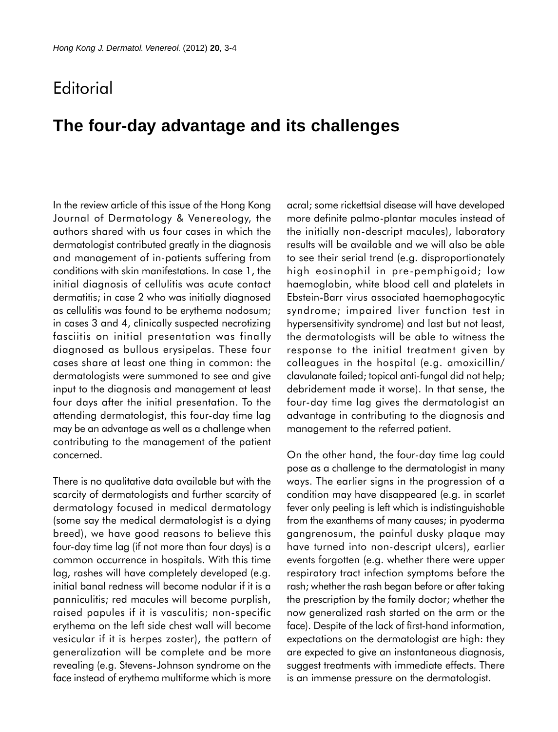## **Editorial**

## **The four-day advantage and its challenges**

In the review article of this issue of the Hong Kong Journal of Dermatology & Venereology, the authors shared with us four cases in which the dermatologist contributed greatly in the diagnosis and management of in-patients suffering from conditions with skin manifestations. In case 1, the initial diagnosis of cellulitis was acute contact dermatitis; in case 2 who was initially diagnosed as cellulitis was found to be erythema nodosum; in cases 3 and 4, clinically suspected necrotizing fasciitis on initial presentation was finally diagnosed as bullous erysipelas. These four cases share at least one thing in common: the dermatologists were summoned to see and give input to the diagnosis and management at least four days after the initial presentation. To the attending dermatologist, this four-day time lag may be an advantage as well as a challenge when contributing to the management of the patient concerned.

There is no qualitative data available but with the scarcity of dermatologists and further scarcity of dermatology focused in medical dermatology (some say the medical dermatologist is a dying breed), we have good reasons to believe this four-day time lag (if not more than four days) is a common occurrence in hospitals. With this time lag, rashes will have completely developed (e.g. initial banal redness will become nodular if it is a panniculitis; red macules will become purplish, raised papules if it is vasculitis; non-specific erythema on the left side chest wall will become vesicular if it is herpes zoster), the pattern of generalization will be complete and be more revealing (e.g. Stevens-Johnson syndrome on the face instead of erythema multiforme which is more

acral; some rickettsial disease will have developed more definite palmo-plantar macules instead of the initially non-descript macules), laboratory results will be available and we will also be able to see their serial trend (e.g. disproportionately high eosinophil in pre-pemphigoid; low haemoglobin, white blood cell and platelets in Ebstein-Barr virus associated haemophagocytic syndrome; impaired liver function test in hypersensitivity syndrome) and last but not least, the dermatologists will be able to witness the response to the initial treatment given by colleagues in the hospital (e.g. amoxicillin/ clavulanate failed; topical anti-fungal did not help; debridement made it worse). In that sense, the four-day time lag gives the dermatologist an advantage in contributing to the diagnosis and management to the referred patient.

On the other hand, the four-day time lag could pose as a challenge to the dermatologist in many ways. The earlier signs in the progression of a condition may have disappeared (e.g. in scarlet fever only peeling is left which is indistinguishable from the exanthems of many causes; in pyoderma gangrenosum, the painful dusky plaque may have turned into non-descript ulcers), earlier events forgotten (e.g. whether there were upper respiratory tract infection symptoms before the rash; whether the rash began before or after taking the prescription by the family doctor; whether the now generalized rash started on the arm or the face). Despite of the lack of first-hand information, expectations on the dermatologist are high: they are expected to give an instantaneous diagnosis, suggest treatments with immediate effects. There is an immense pressure on the dermatologist.